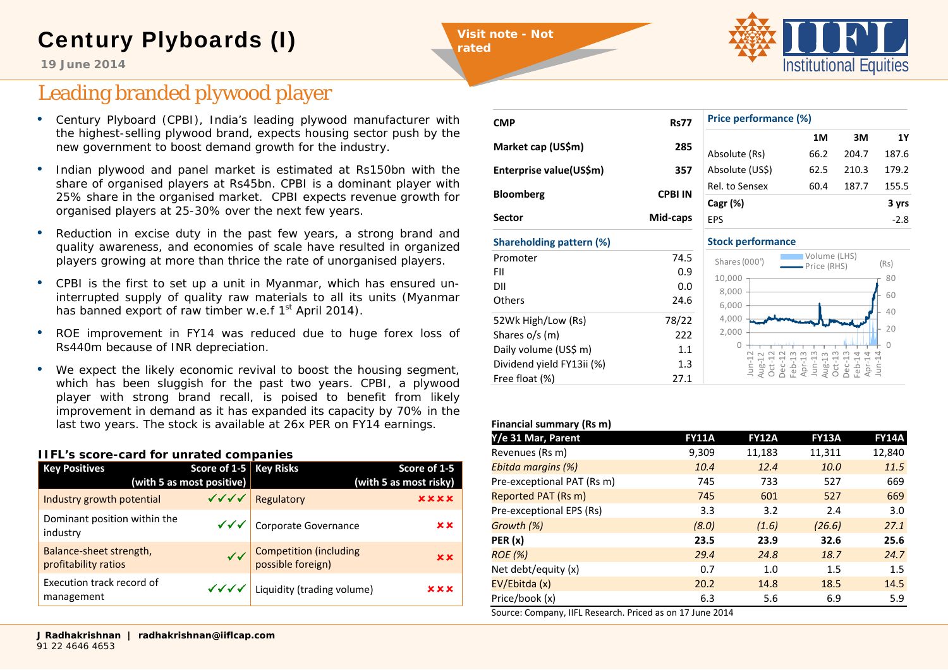## Century Plyboards (I)

**Visit note - Not** 

**rated** 

FII

DII

**Others** 



**19 June 2014**

## Leading branded plywood player

- Century Plyboard (CPBI), India's leading plywood manufacturer with the highest-selling plywood brand, expects housing sector push by the new government to boost demand growth for the industry.
- • Indian plywood and panel market is estimated at Rs150bn with the share of organised players at Rs45bn. CPBI is a dominant player with 25% share in the organised market. CPBI expects revenue growth for organised players at 25-30% over the next few years.
- • Reduction in excise duty in the past few years, a strong brand and quality awareness, and economies of scale have resulted in organized players growing at more than thrice the rate of unorganised players.
- CPBI is the first to set up a unit in Myanmar, which has ensured uninterrupted supply of quality raw materials to all its units (Myanmar has banned export of raw timber w.e.f 1<sup>st</sup> April 2014).
- • ROE improvement in FY14 was reduced due to huge forex loss of Rs440m because of INR depreciation.
- We expect the likely economic revival to boost the housing segment, which has been sluggish for the past two years. CPBI, a plywood player with strong brand recall, is poised to benefit from likely improvement in demand as it has expanded its capacity by 70% in the last two years. The stock is available at 26x PER on FY14 earnings.

### **IIFL's score-card for unrated companies**

| <b>Key Positives</b>                            | Score of 1-5 Key Risks<br>(with 5 as most positive) |                                               | Score of 1-5<br>(with 5 as most risky) |
|-------------------------------------------------|-----------------------------------------------------|-----------------------------------------------|----------------------------------------|
| Industry growth potential                       |                                                     | √√√ Regulatory                                | <b>xxxx</b>                            |
| Dominant position within the<br>industry        |                                                     | √√√ Corporate Governance                      | x x                                    |
| Balance-sheet strength,<br>profitability ratios |                                                     | ✓ Competition (including<br>possible foreign) | x x                                    |
| Execution track record of<br>management         |                                                     | $\sqrt{\sqrt{6}}$ Liquidity (trading volume)  | xxx                                    |

| <b>CMP</b>                      | <b>Rs77</b>    |
|---------------------------------|----------------|
| Market cap (US\$m)              | 285            |
| Enterprise value(US\$m)         | 357            |
| <b>Bloomberg</b>                | <b>CPBI IN</b> |
| Sector                          | Mid-caps       |
| <b>Shareholding pattern (%)</b> |                |
| Promoter                        | 74.5           |

0.9

0.0

52Wk High/Low (Rs) 78/22 Shares o/s (m) 222 Daily volume (US\$ m) 1.1 Dividend yield FY13ii (%) 1.3 Free float (%) 27.1

 $\sim$  24.6

| Price performance (%) |      |       |       |  |
|-----------------------|------|-------|-------|--|
|                       | 1M   | зм    | 1Υ    |  |
| Absolute (Rs)         | 66.2 | 204.7 | 187.6 |  |
| Absolute (US\$)       | 62.5 | 210.3 | 179.2 |  |
| Rel. to Sensex        | 60.4 | 187.7 | 155.5 |  |
| Cagr (%)              |      |       | 3 yrs |  |
| <b>FPS</b>            |      |       | -28   |  |

#### **Stock performance**  $\cap$ 2040608002,000 4,000 6,000 8,000 10,000 Jun ‐12 Aug ‐12 Oct ‐12 Dec ‐12 Feb ‐13 Apr ‐13 Jun  $\frac{13}{11}$ Aug ‐13 Oct ‐13 Dec ‐13 Feb ‐14 Apr ‐14 Jun ‐14 Volume (LHS)  $\sum_{\text{Price (RHS)}}$  (Rs)

### **Financial summary (Rs m)**

| Y/e 31 Mar, Parent         | <b>FY11A</b> | <b>FY12A</b> | <b>FY13A</b> | <b>FY14A</b> |
|----------------------------|--------------|--------------|--------------|--------------|
| Revenues (Rs m)            | 9,309        | 11,183       | 11,311       | 12,840       |
| Ebitda margins (%)         | 10.4         | 12.4         | 10.0         | 11.5         |
| Pre-exceptional PAT (Rs m) | 745          | 733          | 527          | 669          |
| Reported PAT (Rs m)        | 745          | 601          | 527          | 669          |
| Pre-exceptional EPS (Rs)   | 3.3          | 3.2          | 2.4          | 3.0          |
| Growth (%)                 | (8.0)        | (1.6)        | (26.6)       | 27.1         |
| PER(x)                     | 23.5         | 23.9         | 32.6         | 25.6         |
| <b>ROE</b> (%)             | 29.4         | 24.8         | 18.7         | 24.7         |
| Net debt/equity (x)        | 0.7          | 1.0          | 1.5          | 1.5          |
| EV/Ebitda (x)              | 20.2         | 14.8         | 18.5         | 14.5         |
| Price/book (x)             | 6.3          | 5.6          | 6.9          | 5.9          |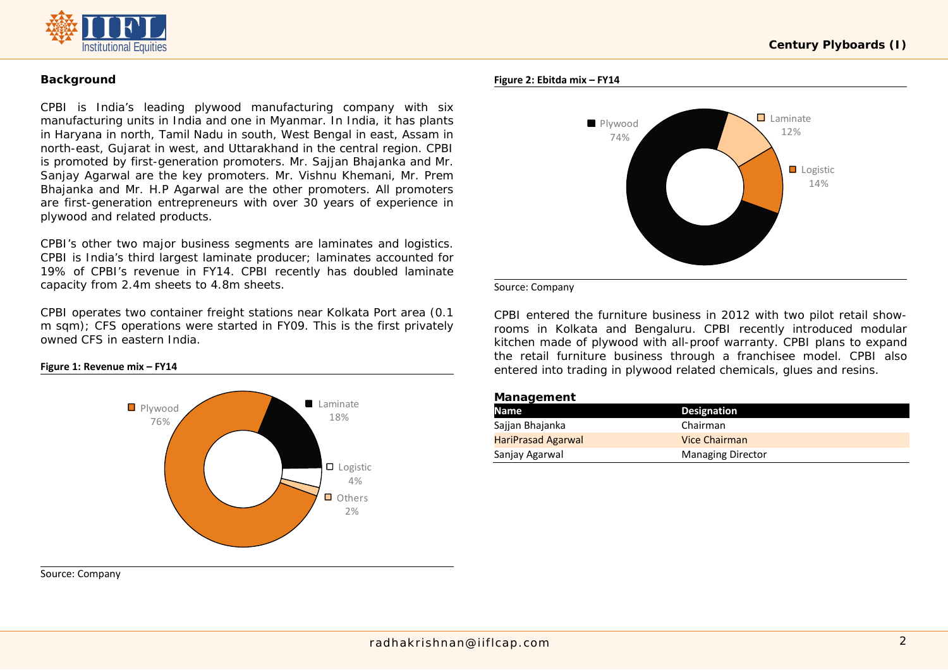

### **Background**

CPBI is India's leading plywood manufacturing company with six manufacturing units in India and one in Myanmar. In India, it has plants in Haryana in north, Tamil Nadu in south, West Bengal in east, Assam in north-east, Gujarat in west, and Uttarakhand in the central region. CPBI is promoted by first-generation promoters. Mr. Sajjan Bhajanka and Mr. Sanjay Agarwal are the key promoters. Mr. Vishnu Khemani, Mr. Prem Bhajanka and Mr. H.P Agarwal are the other promoters. All promoters are first-generation entrepreneurs with over 30 years of experience in plywood and related products.

CPBI's other two major business segments are laminates and logistics. CPBI is India's third largest laminate producer; laminates accounted for 19% of CPBI's revenue in FY14. CPBI recently has doubled laminate capacity from 2.4m sheets to 4.8m sheets.

CPBI operates two container freight stations near Kolkata Port area (0.1 m sqm); CFS operations were started in FY09. This is the first privately owned CFS in eastern India.

### **Figure 1: Revenue mix – FY14**



Source: Company

### **Century Plyboards (I)**

### **Figure 2: Ebitda mix – FY14**



Source: Company

CPBI entered the furniture business in 2012 with two pilot retail showrooms in Kolkata and Bengaluru. CPBI recently introduced modular kitchen made of plywood with all-proof warranty. CPBI plans to expand the retail furniture business through a franchisee model. CPBI also entered into trading in plywood related chemicals, glues and resins.

### **Management**

| Name                      | <b>Designation</b>       |  |
|---------------------------|--------------------------|--|
| Sajjan Bhajanka           | Chairman                 |  |
| <b>HariPrasad Agarwal</b> | Vice Chairman            |  |
| Sanjay Agarwal            | <b>Managing Director</b> |  |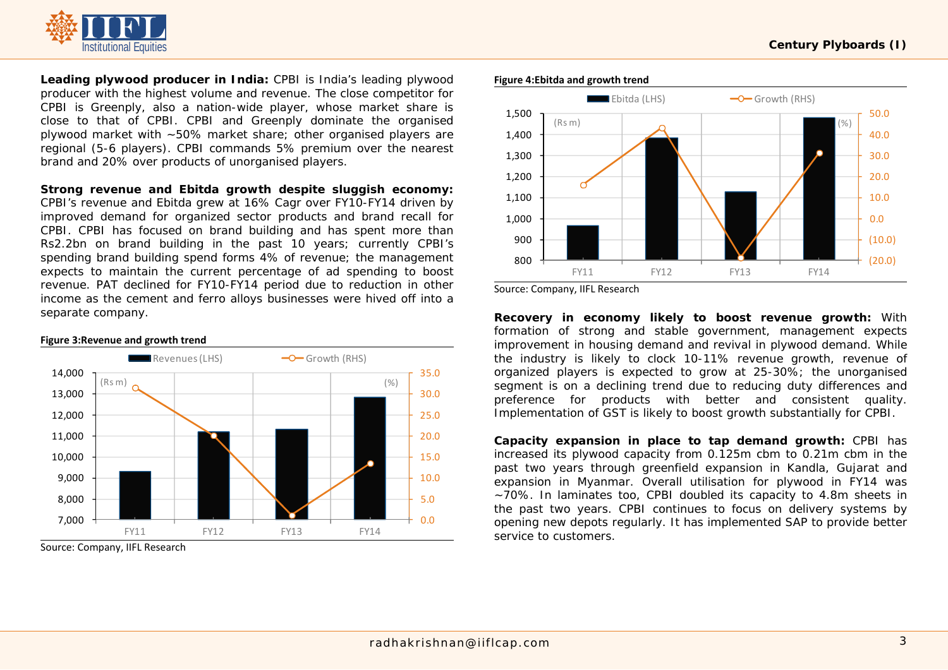

**Leading plywood producer in India:** CPBI is India's leading plywood producer with the highest volume and revenue. The close competitor for CPBI is Greenply, also a nation-wide player, whose market share is close to that of CPBI. CPBI and Greenply dominate the organised plywood market with ~50% market share; other organised players are regional (5-6 players). CPBI commands 5% premium over the nearest brand and 20% over products of unorganised players.

**Strong revenue and Ebitda growth despite sluggish economy:**

CPBI's revenue and Ebitda grew at 16% Cagr over FY10-FY14 driven by improved demand for organized sector products and brand recall for CPBI. CPBI has focused on brand building and has spent more than Rs2.2bn on brand building in the past 10 years; currently CPBI's spending brand building spend forms 4% of revenue; the management expects to maintain the current percentage of ad spending to boost revenue. PAT declined for FY10-FY14 period due to reduction in other income as the cement and ferro alloys businesses were hived off into a separate company.



Source: Company, IIFL Research

### **Figure 4:Ebitda and growth trend**



Source: Company, IIFL Research

**Recovery in economy likely to boost revenue growth:** With formation of strong and stable government, management expects improvement in housing demand and revival in plywood demand. While the industry is likely to clock 10-11% revenue growth, revenue of organized players is expected to grow at 25-30%; the unorganised segment is on a declining trend due to reducing duty differences and preference for products with better and consistent quality. Implementation of GST is likely to boost growth substantially for CPBI.

**Capacity expansion in place to tap demand growth:** CPBI has increased its plywood capacity from 0.125m cbm to 0.21m cbm in the past two years through greenfield expansion in Kandla, Gujarat and expansion in Myanmar. Overall utilisation for plywood in FY14 was ~70%. In laminates too, CPBI doubled its capacity to 4.8m sheets in the past two years. CPBI continues to focus on delivery systems by opening new depots regularly. It has implemented SAP to provide better service to customers.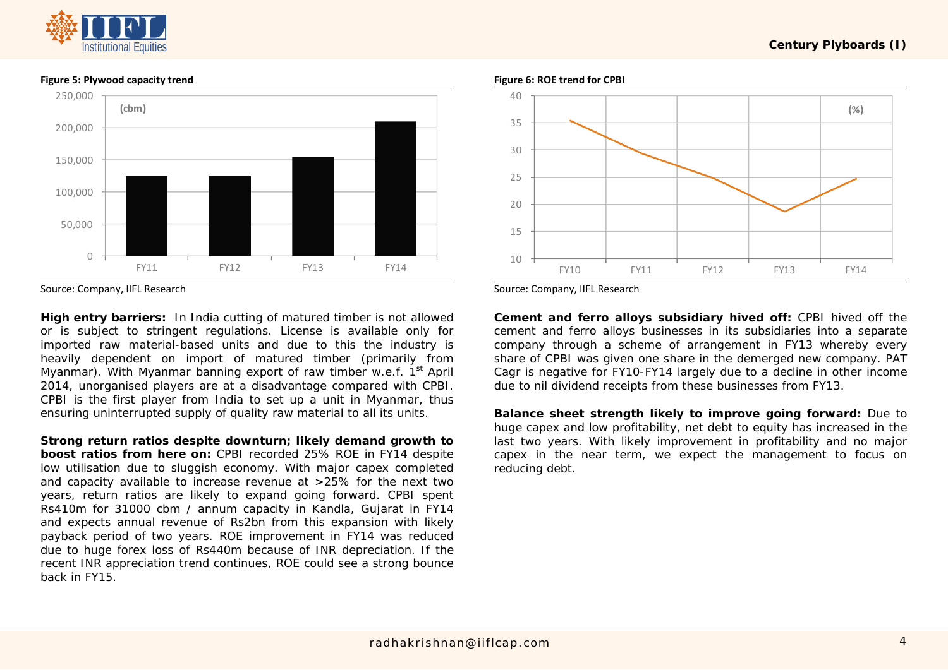## nstitutional Equities



### **Figure 5: Plywood capacity trend**

Source: Company, IIFL Research

**High entry barriers:** In India cutting of matured timber is not allowed or is subject to stringent regulations. License is available only for imported raw material-based units and due to this the industry is heavily dependent on import of matured timber (primarily from Myanmar). With Myanmar banning export of raw timber w.e.f. 1<sup>st</sup> April 2014, unorganised players are at a disadvantage compared with CPBI. CPBI is the first player from India to set up a unit in Myanmar, thus ensuring uninterrupted supply of quality raw material to all its units.

**Strong return ratios despite downturn; likely demand growth to boost ratios from here on:** CPBI recorded 25% ROE in FY14 despite low utilisation due to sluggish economy. With major capex completed and capacity available to increase revenue at >25% for the next two years, return ratios are likely to expand going forward. CPBI spent Rs410m for 31000 cbm / annum capacity in Kandla, Gujarat in FY14 and expects annual revenue of Rs2bn from this expansion with likely payback period of two years. ROE improvement in FY14 was reduced due to huge forex loss of Rs440m because of INR depreciation. If the recent INR appreciation trend continues, ROE could see a strong bounce back in FY15.





Source: Company, IIFL Research

**Cement and ferro alloys subsidiary hived off:** CPBI hived off the cement and ferro alloys businesses in its subsidiaries into a separate company through a scheme of arrangement in FY13 whereby every share of CPBI was given one share in the demerged new company. PAT Cagr is negative for FY10-FY14 largely due to a decline in other income due to nil dividend receipts from these businesses from FY13.

**Balance sheet strength likely to improve going forward:** Due to huge capex and low profitability, net debt to equity has increased in the last two years. With likely improvement in profitability and no major capex in the near term, we expect the management to focus on reducing debt.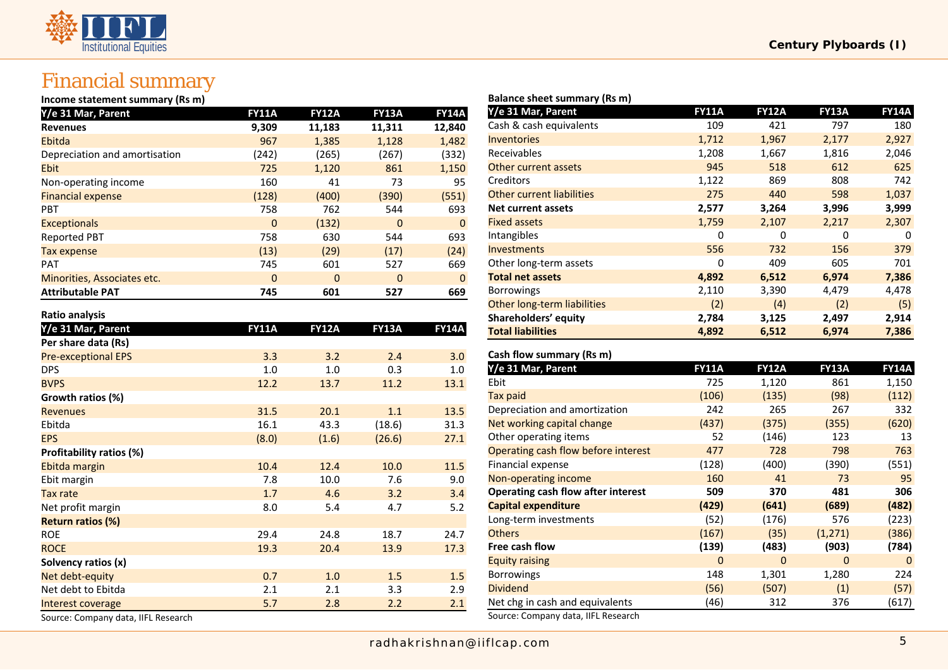# **Institutional Equities**

### Financial summary

### **Income statement summary (Rs m)**

| Y/e 31 Mar, Parent            | <b>FY11A</b> | <b>FY12A</b> | <b>FY13A</b> | <b>FY14A</b> |
|-------------------------------|--------------|--------------|--------------|--------------|
| <b>Revenues</b>               | 9,309        | 11,183       | 11,311       | 12,840       |
| Ebitda                        | 967          | 1,385        | 1,128        | 1,482        |
| Depreciation and amortisation | (242)        | (265)        | (267)        | (332)        |
| <b>Ebit</b>                   | 725          | 1,120        | 861          | 1,150        |
| Non-operating income          | 160          | 41           | 73           | 95           |
| <b>Financial expense</b>      | (128)        | (400)        | (390)        | (551)        |
| <b>PBT</b>                    | 758          | 762          | 544          | 693          |
| <b>Exceptionals</b>           | $\Omega$     | (132)        | $\Omega$     | $\mathbf{0}$ |
| <b>Reported PBT</b>           | 758          | 630          | 544          | 693          |
| Tax expense                   | (13)         | (29)         | (17)         | (24)         |
| <b>PAT</b>                    | 745          | 601          | 527          | 669          |
| Minorities, Associates etc.   | $\Omega$     | $\Omega$     | $\Omega$     | $\mathbf{0}$ |
| <b>Attributable PAT</b>       | 745          | 601          | 527          | 669          |

### **Ratio analysis**

| Y/e 31 Mar, Parent                  | <b>FY11A</b> | <b>FY12A</b> | <b>FY13A</b> | <b>FY14A</b> |
|-------------------------------------|--------------|--------------|--------------|--------------|
| Per share data (Rs)                 |              |              |              |              |
| <b>Pre-exceptional EPS</b>          | 3.3          | 3.2          | 2.4          | 3.0          |
| <b>DPS</b>                          | 1.0          | 1.0          | 0.3          | 1.0          |
| <b>BVPS</b>                         | 12.2         | 13.7         | 11.2         | 13.1         |
| Growth ratios (%)                   |              |              |              |              |
| <b>Revenues</b>                     | 31.5         | 20.1         | 1.1          | 13.5         |
| Ebitda                              | 16.1         | 43.3         | (18.6)       | 31.3         |
| <b>EPS</b>                          | (8.0)        | (1.6)        | (26.6)       | 27.1         |
| Profitability ratios (%)            |              |              |              |              |
| Ebitda margin                       | 10.4         | 12.4         | 10.0         | 11.5         |
| Ebit margin                         | 7.8          | 10.0         | 7.6          | 9.0          |
| Tax rate                            | 1.7          | 4.6          | 3.2          | 3.4          |
| Net profit margin                   | 8.0          | 5.4          | 4.7          | 5.2          |
| <b>Return ratios (%)</b>            |              |              |              |              |
| <b>ROE</b>                          | 29.4         | 24.8         | 18.7         | 24.7         |
| <b>ROCE</b>                         | 19.3         | 20.4         | 13.9         | 17.3         |
| Solvency ratios (x)                 |              |              |              |              |
| Net debt-equity                     | 0.7          | 1.0          | 1.5          | 1.5          |
| Net debt to Ebitda                  | 2.1          | 2.1          | 3.3          | 2.9          |
| Interest coverage                   | 5.7          | 2.8          | 2.2          | 2.1          |
| Source: Company data, IIFL Research |              |              |              |              |

### **Balance sheet summary (Rs m)**

| Y/e 31 Mar, Parent               | <b>FY11A</b> | <b>FY12A</b> | <b>FY13A</b> | <b>FY14A</b> |
|----------------------------------|--------------|--------------|--------------|--------------|
| Cash & cash equivalents          | 109          | 421          | 797          | 180          |
| <b>Inventories</b>               | 1,712        | 1,967        | 2,177        | 2,927        |
| Receivables                      | 1,208        | 1,667        | 1,816        | 2,046        |
| Other current assets             | 945          | 518          | 612          | 625          |
| Creditors                        | 1,122        | 869          | 808          | 742          |
| <b>Other current liabilities</b> | 275          | 440          | 598          | 1,037        |
| <b>Net current assets</b>        | 2,577        | 3,264        | 3,996        | 3,999        |
| <b>Fixed assets</b>              | 1,759        | 2,107        | 2,217        | 2,307        |
| Intangibles                      | 0            | 0            | 0            | 0            |
| <b>Investments</b>               | 556          | 732          | 156          | 379          |
| Other long-term assets           | 0            | 409          | 605          | 701          |
| <b>Total net assets</b>          | 4,892        | 6,512        | 6,974        | 7,386        |
| <b>Borrowings</b>                | 2,110        | 3,390        | 4,479        | 4,478        |
| Other long-term liabilities      | (2)          | (4)          | (2)          | (5)          |
| Shareholders' equity             | 2,784        | 3,125        | 2,497        | 2,914        |
| <b>Total liabilities</b>         | 4,892        | 6,512        | 6,974        | 7,386        |

| Cash flow summary (Rs m)                  |              |              |              |              |
|-------------------------------------------|--------------|--------------|--------------|--------------|
| Y/e 31 Mar, Parent                        | <b>FY11A</b> | <b>FY12A</b> | <b>FY13A</b> | <b>FY14A</b> |
| Ebit                                      | 725          | 1,120        | 861          | 1,150        |
| Tax paid                                  | (106)        | (135)        | (98)         | (112)        |
| Depreciation and amortization             | 242          | 265          | 267          | 332          |
| Net working capital change                | (437)        | (375)        | (355)        | (620)        |
| Other operating items                     | 52           | (146)        | 123          | 13           |
| Operating cash flow before interest       | 477          | 728          | 798          | 763          |
| Financial expense                         | (128)        | (400)        | (390)        | (551)        |
| Non-operating income                      | 160          | 41           | 73           | 95           |
| <b>Operating cash flow after interest</b> | 509          | 370          | 481          | 306          |
| <b>Capital expenditure</b>                | (429)        | (641)        | (689)        | (482)        |
| Long-term investments                     | (52)         | (176)        | 576          | (223)        |
| <b>Others</b>                             | (167)        | (35)         | (1,271)      | (386)        |
| Free cash flow                            | (139)        | (483)        | (903)        | (784)        |
| <b>Equity raising</b>                     | $\Omega$     | $\Omega$     | $\Omega$     | $\Omega$     |
| <b>Borrowings</b>                         | 148          | 1,301        | 1,280        | 224          |
| <b>Dividend</b>                           | (56)         | (507)        | (1)          | (57)         |
| Net chg in cash and equivalents           | (46)         | 312          | 376          | (617)        |
| Source: Company data, IIFL Research       |              |              |              |              |